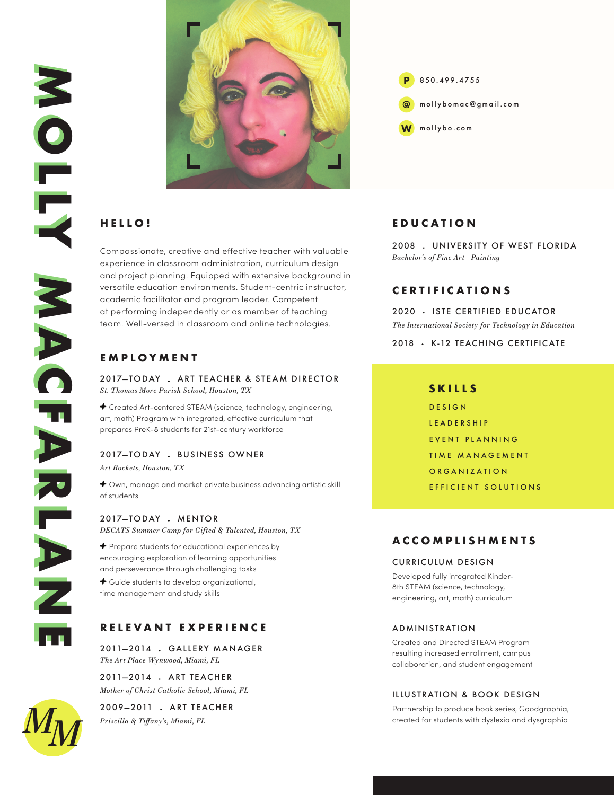

# **HELLO!**

Compassionate, creative and effective teacher with valuable experience in classroom administration, curriculum design and project planning. Equipped with extensive background in versatile education environments. Student-centric instructor, academic facilitator and program leader. Competent at performing independently or as member of teaching team. Well-versed in classroom and online technologies.

# **EMPLOYMENT**

2017—TODAY ART TEACHER & STEAM DIRECTOR *St. Thomas More Parish School, Houston, TX*

+ Created Art-centered STEAM (science, technology, engineering, art, math) Program with integrated, effective curriculum that prepares PreK-8 students for 21st-century workforce

## 2017-TODAY . BUSINESS OWNER

*Art Rockets, Houston, TX*

+ Own, manage and market private business advancing artistic skill of students

2017-TODAY . MENTOR *DECATS Summer Camp for Gifted & Talented, Houston, TX*

+ Prepare students for educational experiences by encouraging exploration of learning opportunities and perseverance through challenging tasks

+ Guide students to develop organizational, time management and study skills

## **RELEVANT EXPERIENCE**

2011—2014 GALLERY M ANAGER *The Art Place Wynwood, Miami, FL*

2011—2014 ART TE ACHER *Mother of Christ Catholic School, Miami, FL*

2009—2011 ART TE ACHER *Priscilla & Tiffany's, Miami, FL*



## **EDUCATION**

2008 UNIVERSITY OF WEST FLORIDA *Bachelor's of Fine Art - Painting*

## **CERTIFICATIONS**

2020 · ISTE CERTIFIED EDUCATOR *The International Society for Technology in Education*

2018 · K-12 TEACHING CERTIFICATE

### **SKILLS**

DESIGN LEADERSHIP EVENT PLANNING TIME MANAGEMENT ORGANIZATION EFFICIENT SOLUTIONS

## **ACCOMPLISHMENTS**

#### CURRICULUM DESIGN

Developed fully integrated Kinder-8th STEAM (science, technology, engineering, art, math) curriculum

#### ADMINISTRATION

Created and Directed STEAM Program resulting increased enrollment, campus collaboration, and student engagement

### ILLUSTRATION & BOOK DESIGN

Partnership to produce book series, Goodgraphia, created for students with dyslexia and dysgraphia